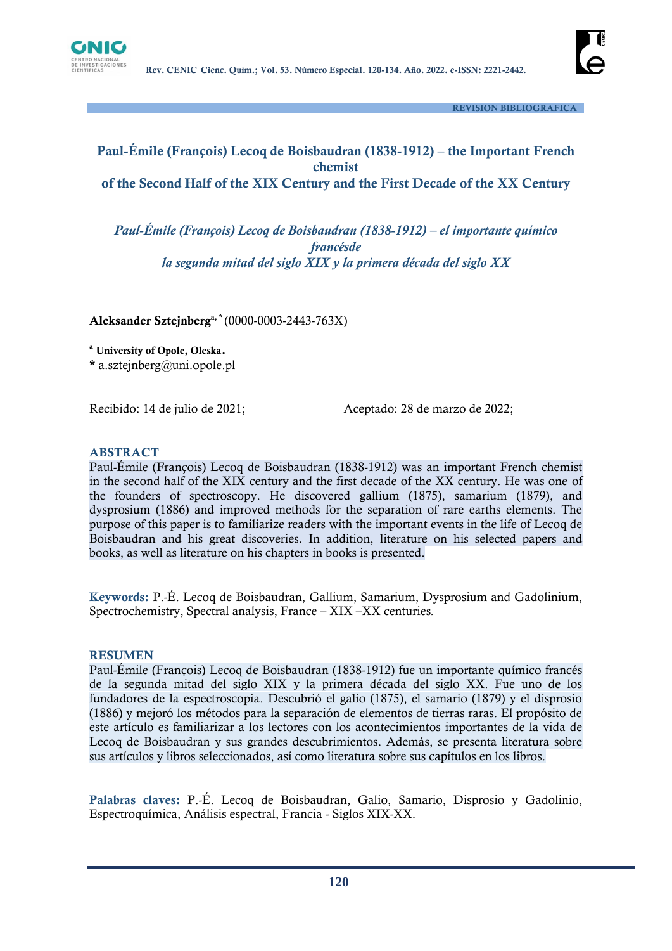

 **REVISION BIBLIOGRAFICA**

# **Paul-Émile (François) Lecoq de Boisbaudran (1838-1912) – the Important French chemist of the Second Half of the XIX Century and the First Decade of the XX Century**

*Paul-Émile (François) Lecoq de Boisbaudran (1838-1912) – el importante químico francésde la segunda mitad del siglo XIX y la primera década del siglo XX*

**Aleksander Sztejnberga, \*** (0000-0003-2443-763X)

**<sup>a</sup> University of Opole, Oleska.**

**\*** a.sztejnberg@uni.opole.pl

Recibido: 14 de julio de 2021;Aceptado: 28 de marzo de 2022;

#### **ABSTRACT**

Paul-Émile (François) Lecoq de Boisbaudran (1838-1912) was an important French chemist in the second half of the XIX century and the first decade of the XX century. He was one of the founders of spectroscopy. He discovered gallium (1875), samarium (1879), and dysprosium (1886) and improved methods for the separation of rare earths elements. The purpose of this paper is to familiarize readers with the important events in the life of Lecoq de Boisbaudran and his great discoveries. In addition, literature on his selected papers and books, as well as literature on his chapters in books is presented.

**Keywords:** P.-É. Lecoq de Boisbaudran, Gallium, Samarium, Dysprosium and Gadolinium, Spectrochemistry, Spectral analysis, France – XIX –XX centuries*.*

#### **RESUMEN**

Paul-Émile (François) Lecoq de Boisbaudran (1838-1912) fue un importante químico francés de la segunda mitad del siglo XIX y la primera década del siglo XX. Fue uno de los fundadores de la espectroscopia. Descubrió el galio (1875), el samario (1879) y el disprosio (1886) y mejoró los métodos para la separación de elementos de tierras raras. El propósito de este artículo es familiarizar a los lectores con los acontecimientos importantes de la vida de Lecoq de Boisbaudran y sus grandes descubrimientos. Además, se presenta literatura sobre sus artículos y libros seleccionados, así como literatura sobre sus capítulos en los libros.

**Palabras claves:** P.-É. Lecoq de Boisbaudran, Galio, Samario, Disprosio y Gadolinio, Espectroquímica, Análisis espectral, Francia - Siglos XIX-XX.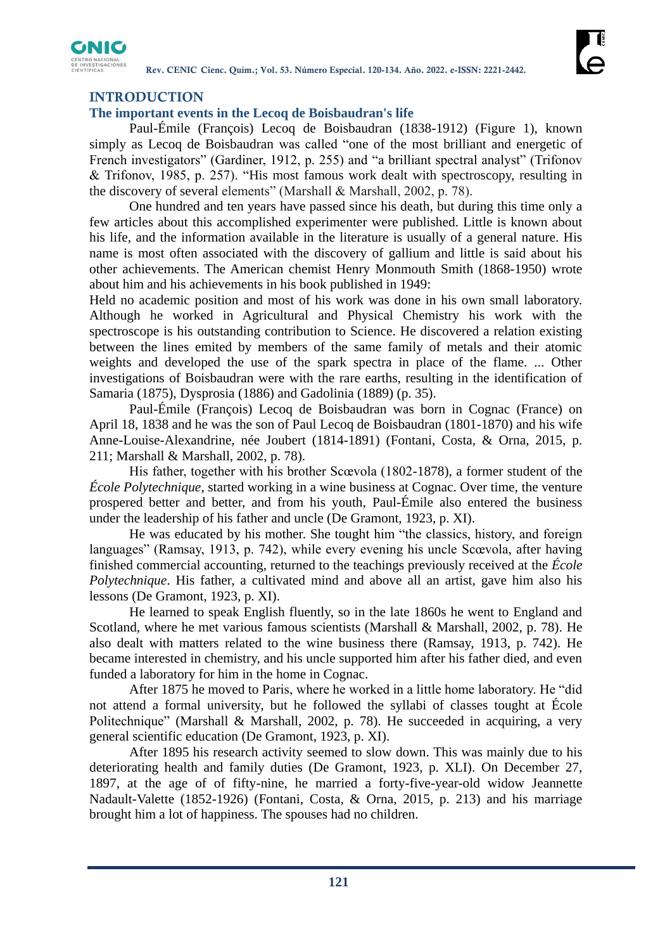

## **INTRODUCTION**

### **The important events in the Lecoq de Boisbaudran's life**

Paul-Émile (François) Lecoq de Boisbaudran (1838-1912) (Figure 1), known simply as Lecoq de Boisbaudran was called "one of the most brilliant and energetic of French investigators" (Gardiner, 1912, p. 255) and "a brilliant spectral analyst" (Trifonov & Trifonov, 1985, p. 257). "His most famous work dealt with spectroscopy, resulting in the discovery of several elements" (Marshall & Marshall, 2002, p. 78).

One hundred and ten years have passed since his death, but during this time only a few articles about this accomplished experimenter were published. Little is known about his life, and the information available in the literature is usually of a general nature. His name is most often associated with the discovery of gallium and little is said about his other achievements. The American chemist Henry Monmouth Smith (1868-1950) wrote about him and his achievements in his book published in 1949:

Held no academic position and most of his work was done in his own small laboratory. Although he worked in Agricultural and Physical Chemistry his work with the spectroscope is his outstanding contribution to Science. He discovered a relation existing between the lines emited by members of the same family of metals and their atomic weights and developed the use of the spark spectra in place of the flame. ... Other investigations of Boisbaudran were with the rare earths, resulting in the identification of Samaria (1875), Dysprosia (1886) and Gadolinia (1889) (p. 35).

Paul-Émile (François) Lecoq de Boisbaudran was born in Cognac (France) on April 18, 1838 and he was the son of Paul Lecoq de Boisbaudran (1801-1870) and his wife Anne-Louise-Alexandrine, née Joubert (1814-1891) (Fontani, Costa, & Orna, 2015, p. 211; Marshall & Marshall, 2002, p. 78).

His father, together with his brother Scœvola (1802-1878), a former student of the *École Polytechnique*, started working in a wine business at Cognac. Over time, the venture prospered better and better, and from his youth, Paul-Émile also entered the business under the leadership of his father and uncle (De Gramont, 1923, p. XI).

He was educated by his mother. She tought him "the classics, history, and foreign languages" (Ramsay, 1913, p. 742), while every evening his uncle Scœvola, after having finished commercial accounting, returned to the teachings previously received at the *École Polytechnique*. His father, a cultivated mind and above all an artist, gave him also his lessons (De Gramont, 1923, p. XI).

He learned to speak English fluently, so in the late 1860s he went to England and Scotland, where he met various famous scientists (Marshall & Marshall, 2002, p. 78). He also dealt with matters related to the wine business there (Ramsay, 1913, p. 742). He became interested in chemistry, and his uncle supported him after his father died, and even funded a laboratory for him in the home in Cognac.

After 1875 he moved to Paris, where he worked in a little home laboratory. He "did not attend a formal university, but he followed the syllabi of classes tought at École Politechnique" (Marshall & Marshall, 2002, p. 78). He succeeded in acquiring, a very general scientific education (De Gramont, 1923, p. XI).

After 1895 his research activity seemed to slow down. This was mainly due to his deteriorating health and family duties (De Gramont, 1923, p. XLI). On December 27, 1897, at the age of of fifty-nine, he married a forty-five-year-old widow Jeannette Nadault-Valette (1852-1926) (Fontani, Costa, & Orna, 2015, p. 213) and his marriage brought him a lot of happiness. The spouses had no children.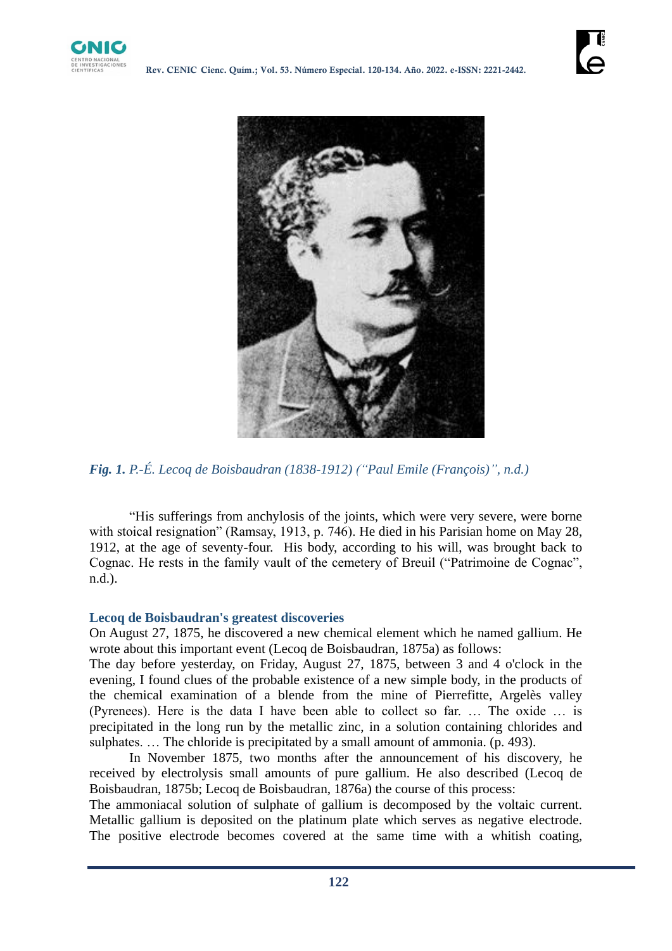



*Fig. 1. P.-É. Lecoq de Boisbaudran (1838-1912) ("Paul Emile (François)", n.d.)*

"His sufferings from anchylosis of the joints, which were very severe, were borne with stoical resignation" (Ramsay, 1913, p. 746). He died in his Parisian home on May 28, 1912, at the age of seventy-four. His body, according to his will, was brought back to Cognac. He rests in the family vault of the cemetery of Breuil ("Patrimoine de Cognac", n.d.).

## **Lecoq de Boisbaudran's greatest discoveries**

On August 27, 1875, he discovered a new chemical element which he named gallium. He wrote about this important event (Lecoq de Boisbaudran, 1875a) as follows:

The day before yesterday, on Friday, August 27, 1875, between 3 and 4 o'clock in the evening, I found clues of the probable existence of a new simple body, in the products of the chemical examination of a blende from the mine of Pierrefitte, Argelès valley (Pyrenees). Here is the data I have been able to collect so far. … The oxide … is precipitated in the long run by the metallic zinc, in a solution containing chlorides and sulphates. ... The chloride is precipitated by a small amount of ammonia. (p. 493).

In November 1875, two months after the announcement of his discovery, he received by electrolysis small amounts of pure gallium. He also described (Lecoq de Boisbaudran, 1875b; Lecoq de Boisbaudran, 1876a) the course of this process:

The ammoniacal solution of sulphate of gallium is decomposed by the voltaic current. Metallic gallium is deposited on the platinum plate which serves as negative electrode. The positive electrode becomes covered at the same time with a whitish coating,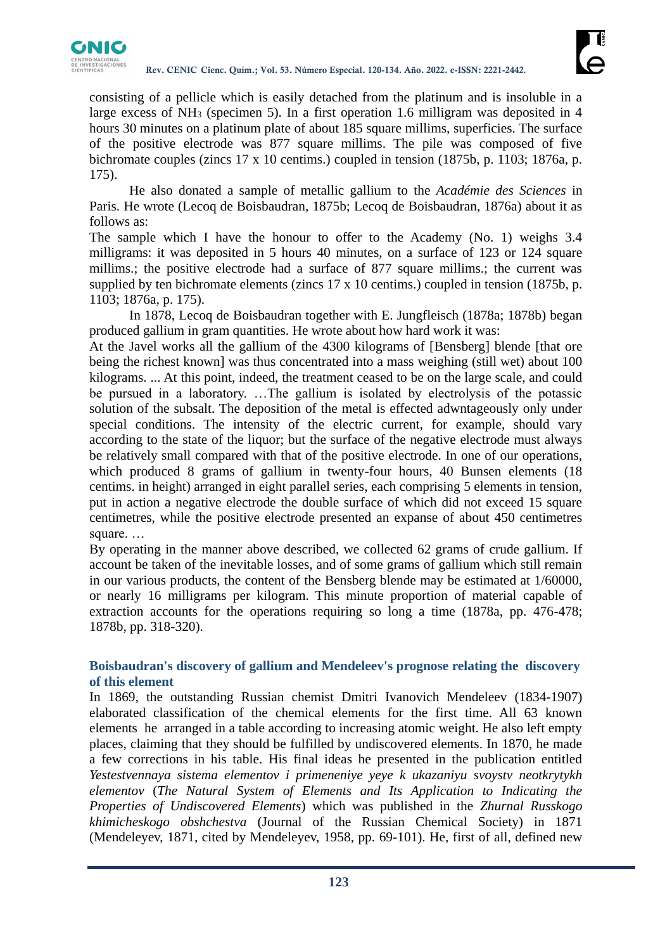

consisting of a pellicle which is easily detached from the platinum and is insoluble in a large excess of NH<sub>3</sub> (specimen 5). In a first operation 1.6 milligram was deposited in 4 hours 30 minutes on a platinum plate of about 185 square millims, superficies. The surface of the positive electrode was 877 square millims. The pile was composed of five bichromate couples (zincs 17 x 10 centims.) coupled in tension (1875b, p. 1103; 1876a, p. 175).

He also donated a sample of metallic gallium to the *Académie des Sciences* in Paris. He wrote (Lecoq de Boisbaudran, 1875b; Lecoq de Boisbaudran, 1876a) about it as follows as:

The sample which I have the honour to offer to the Academy (No. 1) weighs 3.4 milligrams: it was deposited in 5 hours 40 minutes, on a surface of 123 or 124 square millims.; the positive electrode had a surface of 877 square millims.; the current was supplied by ten bichromate elements (zincs 17 x 10 centims.) coupled in tension (1875b, p. 1103; 1876a, p. 175).

In 1878, Lecoq de Boisbaudran together with E. Jungfleisch (1878a; 1878b) began produced gallium in gram quantities. He wrote about how hard work it was:

At the Javel works all the gallium of the 4300 kilograms of [Bensberg] blende [that ore being the richest known] was thus concentrated into a mass weighing (still wet) about 100 kilograms. ... At this point, indeed, the treatment ceased to be on the large scale, and could be pursued in a laboratory. …The gallium is isolated by electrolysis of the potassic solution of the subsalt. The deposition of the metal is effected adwntageously only under special conditions. The intensity of the electric current, for example, should vary according to the state of the liquor; but the surface of the negative electrode must always be relatively small compared with that of the positive electrode. In one of our operations, which produced 8 grams of gallium in twenty-four hours, 40 Bunsen elements (18 centims. in height) arranged in eight parallel series, each comprising 5 elements in tension, put in action a negative electrode the double surface of which did not exceed 15 square centimetres, while the positive electrode presented an expanse of about 450 centimetres square. …

By operating in the manner above described, we collected 62 grams of crude gallium. If account be taken of the inevitable losses, and of some grams of gallium which still remain in our various products, the content of the Bensberg blende may be estimated at 1/60000, or nearly 16 milligrams per kilogram. This minute proportion of material capable of extraction accounts for the operations requiring so long a time (1878a, pp. 476-478; 1878b, pp. 318-320).

## **Boisbaudran's discovery of gallium and Mendeleev's prognose relating the discovery of this element**

In 1869, the outstanding Russian chemist Dmitri Ivanovich Mendeleev (1834-1907) elaborated classification of the chemical elements for the first time. All 63 known elements he arranged in a table according to increasing atomic weight. He also left empty places, claiming that they should be fulfilled by undiscovered elements. In 1870, he made a few corrections in his table. His final ideas he presented in the publication entitled *Yestestvennaya sistema elementov i primeneniye yeye k ukazaniyu svoystv neotkrytykh elementov* (*The Natural System of Elements and Its Application to Indicating the Properties of Undiscovered Elements*) which was published in the *Zhurnal Russkogo khimicheskogo obshchestva* (Journal of the Russian Chemical Society) in 1871 (Mendeleyev, 1871, cited by Mendeleyev, 1958, pp. 69-101). He, first of all, defined new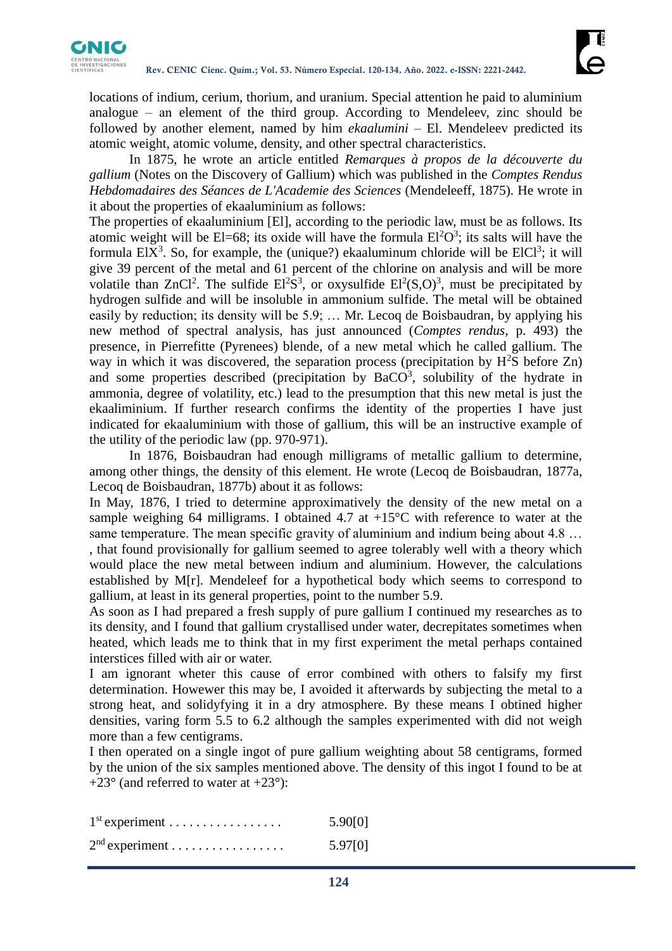

locations of indium, cerium, thorium, and uranium. Special attention he paid to aluminium analogue  $-$  an element of the third group. According to Mendeleev, zinc should be followed by another element, named by him *ekaalumini* – El. Mendeleev predicted its atomic weight, atomic volume, density, and other spectral characteristics.

In 1875, he wrote an article entitled *Remarques à propos de la découverte du gallium* (Notes on the Discovery of Gallium) which was published in the *Comptes Rendus Hebdomadaires des Séances de L'Academie des Sciences* (Mendeleeff, 1875). He wrote in it about the properties of ekaaluminium as follows:

The properties of ekaaluminium [El], according to the periodic law, must be as follows. Its atomic weight will be El=68; its oxide will have the formula  $El^2O^3$ ; its salts will have the formula  $EIX<sup>3</sup>$ . So, for example, the (unique?) ekaaluminum chloride will be  $EICI<sup>3</sup>$ ; it will give 39 percent of the metal and 61 percent of the chlorine on analysis and will be more volatile than ZnCl<sup>2</sup>. The sulfide  $E^{2}S^{3}$ , or oxysulfide  $E^{2}(S, O)^{3}$ , must be precipitated by hydrogen sulfide and will be insoluble in ammonium sulfide. The metal will be obtained easily by reduction; its density will be 5.9; … Mr. Lecoq de Boisbaudran, by applying his new method of spectral analysis, has just announced (*Comptes rendus*, p. 493) the presence, in Pierrefitte (Pyrenees) blende, of a new metal which he called gallium. The way in which it was discovered, the separation process (precipitation by  $H^2S$  before Zn) and some properties described (precipitation by  $BaCO<sup>3</sup>$ , solubility of the hydrate in ammonia, degree of volatility, etc.) lead to the presumption that this new metal is just the ekaaliminium. If further research confirms the identity of the properties I have just indicated for ekaaluminium with those of gallium, this will be an instructive example of the utility of the periodic law (pp. 970-971).

In 1876, Boisbaudran had enough milligrams of metallic gallium to determine, among other things, the density of this element. He wrote (Lecoq de Boisbaudran, 1877a, Lecoq de Boisbaudran, 1877b) about it as follows:

In May, 1876, I tried to determine approximatively the density of the new metal on a sample weighing 64 milligrams. I obtained 4.7 at  $+15^{\circ}$ C with reference to water at the same temperature. The mean specific gravity of aluminium and indium being about 4.8 ... , that found provisionally for gallium seemed to agree tolerably well with a theory which would place the new metal between indium and aluminium. However, the calculations established by M[r]. Mendeleef for a hypothetical body which seems to correspond to gallium, at least in its general properties, point to the number 5.9.

As soon as I had prepared a fresh supply of pure gallium I continued my researches as to its density, and I found that gallium crystallised under water, decrepitates sometimes when heated, which leads me to think that in my first experiment the metal perhaps contained interstices filled with air or water.

I am ignorant wheter this cause of error combined with others to falsify my first determination. Howewer this may be, I avoided it afterwards by subjecting the metal to a strong heat, and solidyfying it in a dry atmosphere. By these means I obtined higher densities, varing form 5.5 to 6.2 although the samples experimented with did not weigh more than a few centigrams.

I then operated on a single ingot of pure gallium weighting about 58 centigrams, formed by the union of the six samples mentioned above. The density of this ingot I found to be at +23 $\degree$  (and referred to water at +23 $\degree$ ):

| $1st$ experiment | 5.90[0] |
|------------------|---------|
| $2nd$ experiment | 5.97[0] |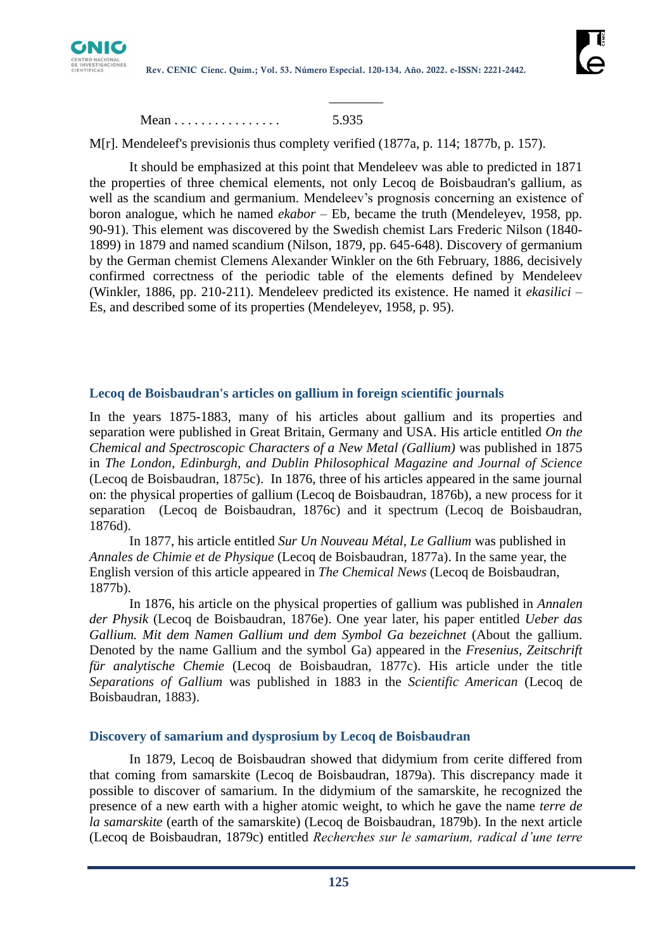

Mean . . . . . . . . . . . . . . . . 5.935

M[r]. Mendeleef's previsionis thus complety verified (1877a, p. 114; 1877b, p. 157).

 $\mathcal{L}$  and  $\mathcal{L}$  are the set of  $\mathcal{L}$ 

It should be emphasized at this point that Mendeleev was able to predicted in 1871 the properties of three chemical elements, not only Lecoq de Boisbaudran's gallium, as well as the scandium and germanium. Mendeleev's prognosis concerning an existence of boron analogue, which he named *ekabor* – Eb, became the truth (Mendeleyev, 1958, pp. 90-91). This element was discovered by the Swedish chemist Lars Frederic Nilson (1840- 1899) in 1879 and named scandium (Nilson, 1879, pp. 645-648). Discovery of germanium by the German chemist Clemens Alexander Winkler on the 6th February, 1886, decisively confirmed correctness of the periodic table of the elements defined by Mendeleev (Winkler, 1886, pp. 210-211). Mendeleev predicted its existence. He named it *ekasilici* – Es, and described some of its properties (Mendeleyev, 1958, p. 95).

#### **Lecoq de Boisbaudran's articles on gallium in foreign scientific journals**

In the years 1875-1883, many of his articles about gallium and its properties and separation were published in Great Britain, Germany and USA. His article entitled *On the Chemical and Spectroscopic Characters of a New Metal (Gallium)* was published in 1875 in *The London, Edinburgh, and Dublin Philosophical Magazine and Journal of Science*  (Lecoq de Boisbaudran, 1875c). In 1876, three of his articles appeared in the same journal on: the physical properties of gallium (Lecoq de Boisbaudran, 1876b), a new process for it separation (Lecoq de Boisbaudran, 1876c) and it spectrum (Lecoq de Boisbaudran, 1876d).

In 1877, his article entitled *Sur Un Nouveau Métal, Le Gallium* was published in *Annales de Chimie et de Physique* (Lecoq de Boisbaudran, 1877a). In the same year, the English version of this article appeared in *The Chemical News* (Lecoq de Boisbaudran, 1877b).

In 1876, his article on the physical properties of gallium was published in *Annalen der Physik* (Lecoq de Boisbaudran, 1876e). One year later, his paper entitled *Ueber das Gallium. Mit dem Namen Gallium und dem Symbol Ga bezeichnet* (About the gallium. Denoted by the name Gallium and the symbol Ga) appeared in the *Fresenius, Zeitschrift für analytische Chemie* (Lecoq de Boisbaudran, 1877c). His article under the title *Separations of Gallium* was published in 1883 in the *Scientific American* (Lecoq de Boisbaudran, 1883).

#### **Discovery of samarium and dysprosium by Lecoq de Boisbaudran**

In 1879, Lecoq de Boisbaudran showed that didymium from cerite differed from that coming from samarskite (Lecoq de Boisbaudran, 1879a). This discrepancy made it possible to discover of samarium. In the didymium of the samarskite, he recognized the presence of a new earth with a higher atomic weight, to which he gave the name *terre de la samarskite* (earth of the samarskite) (Lecoq de Boisbaudran, 1879b). In the next article (Lecoq de Boisbaudran, 1879c) entitled *Recherches sur le samarium, radical d'une terre*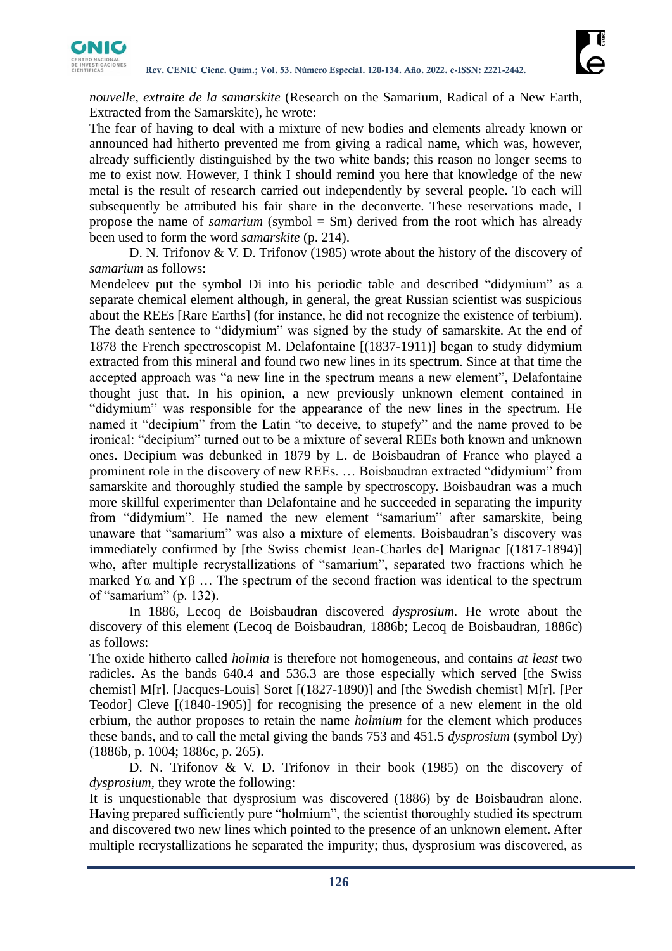

*nouvelle, extraite de la samarskite* (Research on the Samarium, Radical of a New Earth, Extracted from the Samarskite), he wrote:

The fear of having to deal with a mixture of new bodies and elements already known or announced had hitherto prevented me from giving a radical name, which was, however, already sufficiently distinguished by the two white bands; this reason no longer seems to me to exist now. However, I think I should remind you here that knowledge of the new metal is the result of research carried out independently by several people. To each will subsequently be attributed his fair share in the deconverte. These reservations made, I propose the name of *samarium* (symbol = Sm) derived from the root which has already been used to form the word *samarskite* (p. 214).

D. N. Trifonov & V. D. Trifonov (1985) wrote about the history of the discovery of *samarium* as follows:

Mendeleev put the symbol Di into his periodic table and described "didymium" as a separate chemical element although, in general, the great Russian scientist was suspicious about the REEs [Rare Earths] (for instance, he did not recognize the existence of terbium). The death sentence to "didymium" was signed by the study of samarskite. At the end of 1878 the French spectroscopist M. Delafontaine [(1837-1911)] began to study didymium extracted from this mineral and found two new lines in its spectrum. Since at that time the accepted approach was "a new line in the spectrum means a new element", Delafontaine thought just that. In his opinion, a new previously unknown element contained in "didymium" was responsible for the appearance of the new lines in the spectrum. He named it "decipium" from the Latin "to deceive, to stupefy" and the name proved to be ironical: "decipium" turned out to be a mixture of several REEs both known and unknown ones. Decipium was debunked in 1879 by L. de Boisbaudran of France who played a prominent role in the discovery of new REEs. … Boisbaudran extracted "didymium" from samarskite and thoroughly studied the sample by spectroscopy. Boisbaudran was a much more skillful experimenter than Delafontaine and he succeeded in separating the impurity from "didymium". He named the new element "samarium" after samarskite, being unaware that "samarium" was also a mixture of elements. Boisbaudran's discovery was immediately confirmed by [the Swiss chemist Jean-Charles de] Marignac [(1817-1894)] who, after multiple recrystallizations of "samarium", separated two fractions which he marked Yα and Yβ ... The spectrum of the second fraction was identical to the spectrum of "samarium" (p. 132).

In 1886, Lecoq de Boisbaudran discovered *dysprosium*. He wrote about the discovery of this element (Lecoq de Boisbaudran, 1886b; Lecoq de Boisbaudran, 1886c) as follows:

The oxide hitherto called *holmia* is therefore not homogeneous, and contains *at least* two radicles. As the bands 640.4 and 536.3 are those especially which served [the Swiss chemist] M[r]. [Jacques-Louis] Soret [(1827-1890)] and [the Swedish chemist] M[r]. [Per Teodor] Cleve [(1840-1905)] for recognising the presence of a new element in the old erbium, the author proposes to retain the name *holmium* for the element which produces these bands, and to call the metal giving the bands 753 and 451.5 *dysprosium* (symbol Dy) (1886b, p. 1004; 1886c, p. 265).

D. N. Trifonov & V. D. Trifonov in their book (1985) on the discovery of *dysprosium*, they wrote the following:

It is unquestionable that dysprosium was discovered (1886) by de Boisbaudran alone. Having prepared sufficiently pure "holmium", the scientist thoroughly studied its spectrum and discovered two new lines which pointed to the presence of an unknown element. After multiple recrystallizations he separated the impurity; thus, dysprosium was discovered, as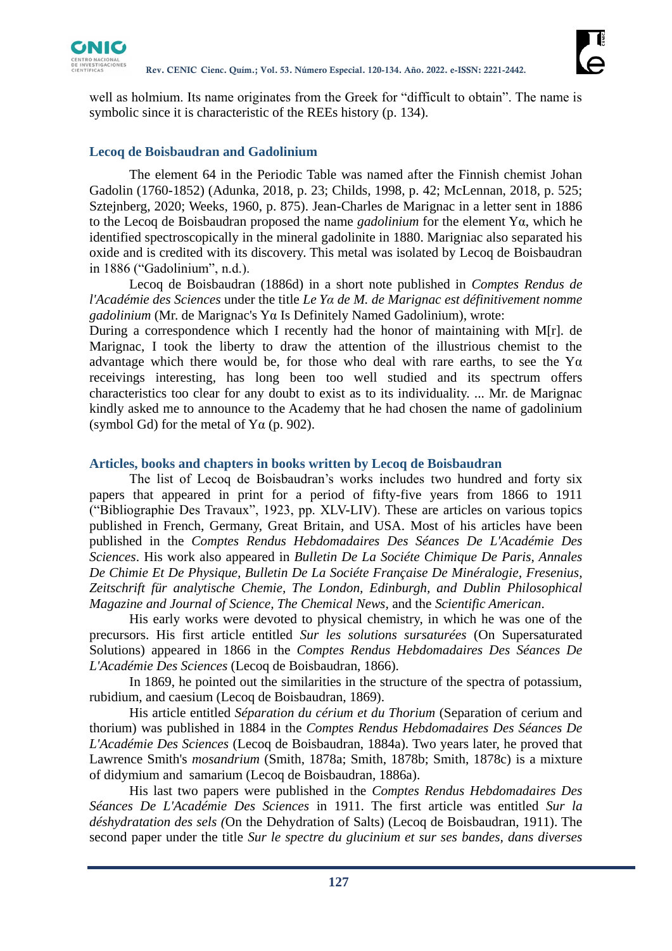

well as holmium. Its name originates from the Greek for "difficult to obtain". The name is symbolic since it is characteristic of the REEs history (p. 134).

## **Lecoq de Boisbaudran and Gadolinium**

The element 64 in the Periodic Table was named after the Finnish chemist Johan Gadolin (1760-1852) (Adunka, 2018, p. 23; Childs, 1998, p. 42; McLennan, 2018, p. 525; Sztejnberg, 2020; Weeks, 1960, p. 875). Jean-Charles de Marignac in a letter sent in 1886 to the Lecoq de Boisbaudran proposed the name *gadolinium* for the element Yα, which he identified spectroscopically in the mineral gadolinite in 1880. Marigniac also separated his oxide and is credited with its discovery. This metal was isolated by Lecoq de Boisbaudran in 1886 ("Gadolinium", n.d.).

Lecoq de Boisbaudran (1886d) in a short note published in *Comptes Rendus de l'Académie des Sciences* under the title *Le Yα de M. de Marignac est définitivement nomme gadolinium* (Mr. de Marignac's Yα Is Definitely Named Gadolinium), wrote:

During a correspondence which I recently had the honor of maintaining with M[r]. de Marignac, I took the liberty to draw the attention of the illustrious chemist to the advantage which there would be, for those who deal with rare earths, to see the  $\Upsilon\alpha$ receivings interesting, has long been too well studied and its spectrum offers characteristics too clear for any doubt to exist as to its individuality. ... Mr. de Marignac kindly asked me to announce to the Academy that he had chosen the name of gadolinium (symbol Gd) for the metal of  $Ya$  (p. 902).

#### **Articles, books and chapters in books written by Lecoq de Boisbaudran**

The list of Lecoq de Boisbaudran's works includes two hundred and forty six papers that appeared in print for a period of fifty-five years from 1866 to 1911 ("Bibliographie Des Travaux", 1923, pp. XLV-LIV). These are articles on various topics published in French, Germany, Great Britain, and USA. Most of his articles have been published in the *Comptes Rendus Hebdomadaires Des Séances De L'Académie Des Sciences*. His work also appeared in *Bulletin De La Sociéte Chimique De Paris, Annales De Chimie Et De Physique, Bulletin De La Sociéte Française De Minéralogie, Fresenius, Zeitschrift für analytische Chemie, The London, Edinburgh, and Dublin Philosophical Magazine and Journal of Science, The Chemical News,* and the *Scientific American*.

His early works were devoted to physical chemistry, in which he was one of the precursors. His first article entitled *Sur les solutions sursaturées* (On Supersaturated Solutions) appeared in 1866 in the *Comptes Rendus Hebdomadaires Des Séances De L'Académie Des Sciences* (Lecoq de Boisbaudran, 1866).

In 1869, he pointed out the similarities in the structure of the spectra of potassium, rubidium, and caesium (Lecoq de Boisbaudran, 1869).

His article entitled *Séparation du cérium et du Thorium* (Separation of cerium and thorium) was published in 1884 in the *Comptes Rendus Hebdomadaires Des Séances De L'Académie Des Sciences* (Lecoq de Boisbaudran, 1884a). Two years later, he proved that Lawrence Smith's *mosandrium* (Smith, 1878a; Smith, 1878b; Smith, 1878c) is a mixture of didymium and samarium (Lecoq de Boisbaudran, 1886a).

His last two papers were published in the *Comptes Rendus Hebdomadaires Des Séances De L'Académie Des Sciences* in 1911. The first article was entitled *Sur la déshydratation des sels (*On the Dehydration of Salts) (Lecoq de Boisbaudran, 1911). The second paper under the title *Sur le spectre du glucinium et sur ses bandes, dans diverses*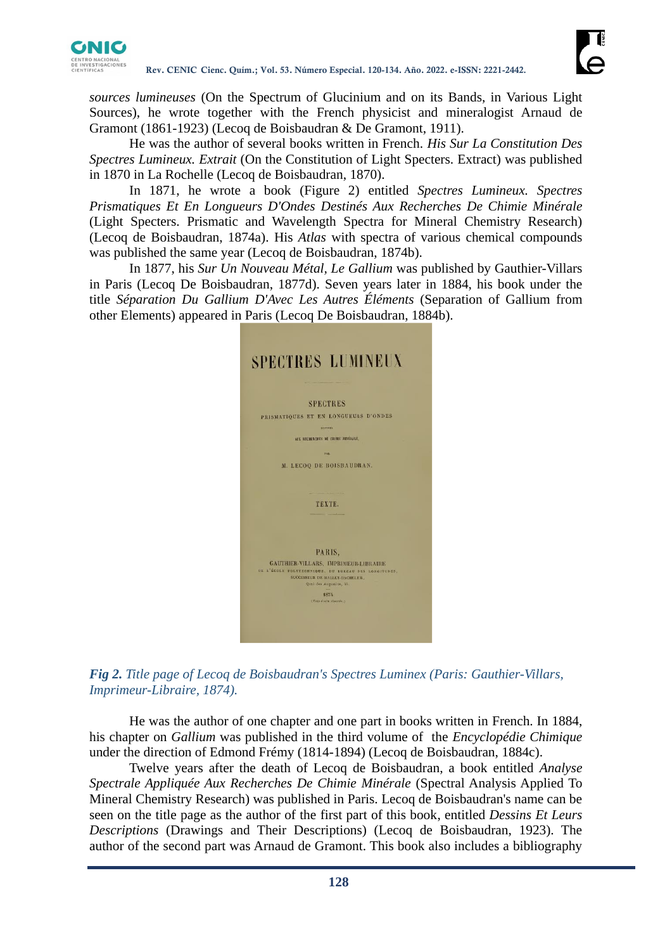

*sources lumineuses* (On the Spectrum of Glucinium and on its Bands, in Various Light Sources), he wrote together with the French physicist and mineralogist Arnaud de Gramont (1861-1923) (Lecoq de Boisbaudran & De Gramont, 1911).

He was the author of several books written in French. *His Sur La Constitution Des Spectres Lumineux. Extrait* (On the Constitution of Light Specters. Extract) was published in 1870 in La Rochelle (Lecoq de Boisbaudran, 1870).

In 1871, he wrote a book (Figure 2) entitled *Spectres Lumineux. Spectres Prismatiques Et En Longueurs D'Ondes Destinés Aux Recherches De Chimie Minérale*  (Light Specters. Prismatic and Wavelength Spectra for Mineral Chemistry Research) (Lecoq de Boisbaudran, 1874a). His *Atlas* with spectra of various chemical compounds was published the same year (Lecoq de Boisbaudran, 1874b).

In 1877, his *Sur Un Nouveau Métal, Le Gallium* was published by Gauthier-Villars in Paris (Lecoq De Boisbaudran, 1877d). Seven years later in 1884, his book under the title *Séparation Du Gallium D'Avec Les Autres Éléments* (Separation of Gallium from other Elements) appeared in Paris (Lecoq De Boisbaudran, 1884b).





He was the author of one chapter and one part in books written in French. In 1884, his chapter on *Gallium* was published in the third volume of the *Encyclopédie Chimique* under the direction of Edmond Frémy (1814-1894) (Lecoq de Boisbaudran, 1884c).

Twelve years after the death of Lecoq de Boisbaudran, a book entitled *Analyse Spectrale Appliquée Aux Recherches De Chimie Minérale* (Spectral Analysis Applied To Mineral Chemistry Research) was published in Paris. Lecoq de Boisbaudran's name can be seen on the title page as the author of the first part of this book, entitled *Dessins Et Leurs Descriptions* (Drawings and Their Descriptions) (Lecoq de Boisbaudran, 1923). The author of the second part was Arnaud de Gramont. This book also includes a bibliography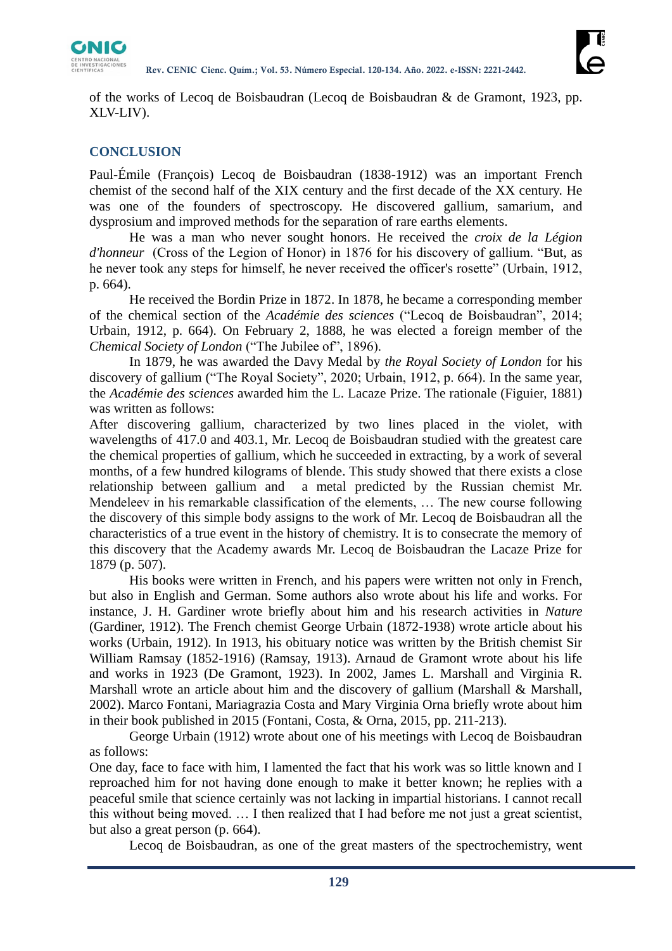

of the works of Lecoq de Boisbaudran (Lecoq de Boisbaudran & de Gramont, 1923, pp. XLV-LIV).

# **CONCLUSION**

Paul-Émile (François) Lecoq de Boisbaudran (1838-1912) was an important French chemist of the second half of the XIX century and the first decade of the XX century. He was one of the founders of spectroscopy. He discovered gallium, samarium, and dysprosium and improved methods for the separation of rare earths elements.

He was a man who never sought honors. He received the *croix de la Légion d'honneur* (Cross of the Legion of Honor) in 1876 for his discovery of gallium. "But, as he never took any steps for himself, he never received the officer's rosette" (Urbain, 1912, p. 664).

He received the Bordin Prize in 1872. In 1878, he became a corresponding member of the chemical section of the *Académie des sciences* ("Lecoq de Boisbaudran", 2014; Urbain, 1912, p. 664). On February 2, 1888, he was elected a foreign member of the *Chemical Society of London* ("The Jubilee of", 1896).

In 1879, he was awarded the Davy Medal by *the Royal Society of London* for his discovery of gallium ("The Royal Society", 2020; Urbain, 1912, p. 664). In the same year, the *Académie des sciences* awarded him the L. Lacaze Prize. The rationale (Figuier, 1881) was written as follows:

After discovering gallium, characterized by two lines placed in the violet, with wavelengths of 417.0 and 403.1, Mr. Lecoq de Boisbaudran studied with the greatest care the chemical properties of gallium, which he succeeded in extracting, by a work of several months, of a few hundred kilograms of blende. This study showed that there exists a close relationship between gallium and a metal predicted by the Russian chemist Mr. Mendeleev in his remarkable classification of the elements, … The new course following the discovery of this simple body assigns to the work of Mr. Lecoq de Boisbaudran all the characteristics of a true event in the history of chemistry. It is to consecrate the memory of this discovery that the Academy awards Mr. Lecoq de Boisbaudran the Lacaze Prize for 1879 (p. 507).

His books were written in French, and his papers were written not only in French, but also in English and German. Some authors also wrote about his life and works. For instance, J. H. Gardiner wrote briefly about him and his research activities in *Nature* (Gardiner, 1912). The French chemist George Urbain (1872-1938) wrote article about his works (Urbain, 1912). In 1913, his obituary notice was written by the British chemist Sir William Ramsay (1852-1916) (Ramsay, 1913). Arnaud de Gramont wrote about his life and works in 1923 (De Gramont, 1923). In 2002, James L. Marshall and Virginia R. Marshall wrote an article about him and the discovery of gallium (Marshall & Marshall, 2002). Marco Fontani, Mariagrazia Costa and Mary Virginia Orna briefly wrote about him in their book published in 2015 (Fontani, Costa, & Orna, 2015, pp. 211-213).

George Urbain (1912) wrote about one of his meetings with Lecoq de Boisbaudran as follows:

One day, face to face with him, I lamented the fact that his work was so little known and I reproached him for not having done enough to make it better known; he replies with a peaceful smile that science certainly was not lacking in impartial historians. I cannot recall this without being moved. … I then realized that I had before me not just a great scientist, but also a great person (p. 664).

Lecoq de Boisbaudran, as one of the great masters of the spectrochemistry, went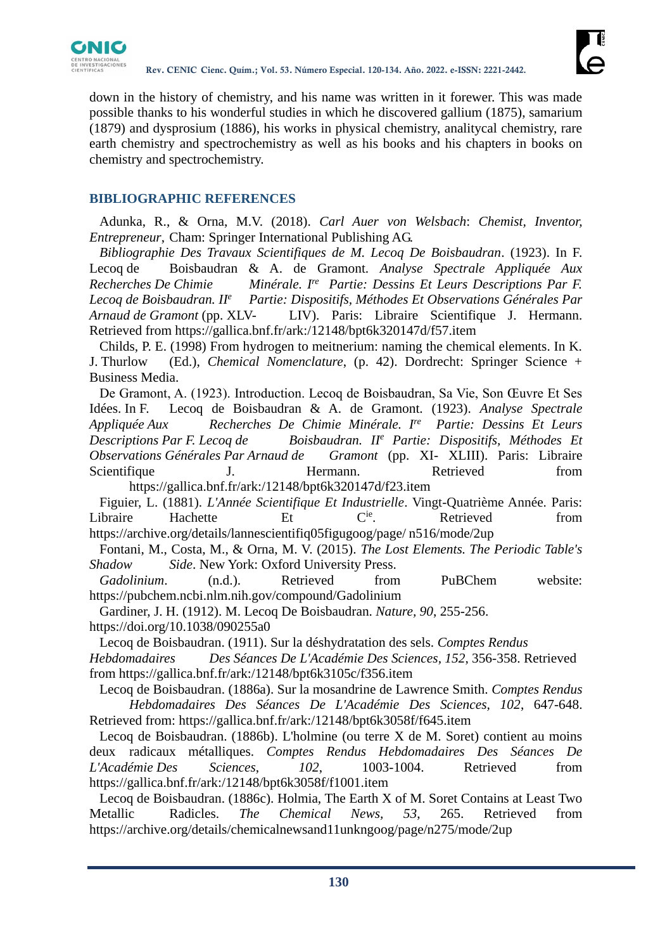

down in the history of chemistry, and his name was written in it forewer. This was made possible thanks to his wonderful studies in which he discovered gallium (1875), samarium (1879) and dysprosium (1886), his works in physical chemistry, analitycal chemistry, rare earth chemistry and spectrochemistry as well as his books and his chapters in books on chemistry and spectrochemistry.

# **BIBLIOGRAPHIC REFERENCES**

Adunka, R., & Orna, M.V. (2018). *Carl Auer von Welsbach*: *Chemist, Inventor, Entrepreneur*, Cham: Springer International Publishing AG.

*Bibliographie Des Travaux Scientifiques de M. Lecoq De Boisbaudran*. (1923). In F. Lecoq de Boisbaudran & A. de Gramont. *Analyse Spectrale Appliquée Aux*   $Recherches De Chimie$  *Partie: Dessins Et Leurs Descriptions Par F. Lecoq de Boisbaudran. II<sup>e</sup> Partie: Dispositifs, Méthodes Et Observations Générales Par Arnaud de Gramont* (pp. XLV- LIV). Paris: Libraire Scientifique J. Hermann. Retrieved from https://gallica.bnf.fr/ark:/12148/bpt6k320147d/f57.item

Childs, P. E. (1998) From hydrogen to meitnerium: naming the chemical elements. In K. J. Thurlow (Ed.), *Chemical Nomenclature*, (p. 42). Dordrecht: Springer Science + Business Media.

De Gramont, A. (1923). Introduction. Lecoq de Boisbaudran, Sa Vie, Son Œuvre Et Ses Idées. In F. Lecoq de Boisbaudran & A. de Gramont. (1923). *Analyse Spectrale Appliquée Aux Recherches De Chimie Minérale. Ire Partie: Dessins Et Leurs Descriptions Par F. Lecoq de Boisbaudran. II<sup>e</sup> Partie: Dispositifs, Méthodes Et Observations Générales Par Arnaud de Gramont* (pp. XI- XLIII). Paris: Libraire Scientifique J. Hermann. Retrieved from https://gallica.bnf.fr/ark:/12148/bpt6k320147d/f23.item

Figuier, L. (1881). *L'Année Scientifique Et Industrielle*. Vingt-Quatrième Année. Paris: Libraire Hachette Et C<sup>ie</sup>. Retrieved from https://archive.org/details/lannescientifiq05figugoog/page/ n516/mode/2up

Fontani, M., Costa, M., & Orna, M. V. (2015). *The Lost Elements. The Periodic Table's Shadow Side*. New York: Oxford University Press.

*Gadolinium*. (n.d.). Retrieved from PuBChem website: https://pubchem.ncbi.nlm.nih.gov/compound/Gadolinium

Gardiner, J. H. (1912). M. Lecoq De Boisbaudran. *Nature, 90*, 255-256. https://doi.org/10.1038/090255a0

Lecoq de Boisbaudran. (1911). Sur la déshydratation des sels. *Comptes Rendus* 

*Hebdomadaires Des Séances De L'Académie Des Sciences, 152*, 356-358. Retrieved from https://gallica.bnf.fr/ark:/12148/bpt6k3105c/f356.item

Lecoq de Boisbaudran. (1886a). Sur la mosandrine de Lawrence Smith. *Comptes Rendus Hebdomadaires Des Séances De L'Académie Des Sciences, 102*, 647-648. Retrieved from: https://gallica.bnf.fr/ark:/12148/bpt6k3058f/f645.item

Lecoq de Boisbaudran. (1886b). L'holmine (ou terre X de M. Soret) contient au moins deux radicaux métalliques. *Comptes Rendus Hebdomadaires Des Séances De L'Académie Des Sciences*, *102*, 1003-1004. Retrieved from https://gallica.bnf.fr/ark:/12148/bpt6k3058f/f1001.item

Lecoq de Boisbaudran. (1886c). Holmia, The Earth X of M. Soret Contains at Least Two Metallic Radicles. *The Chemical News, 53*, 265. Retrieved from https://archive.org/details/chemicalnewsand11unkngoog/page/n275/mode/2up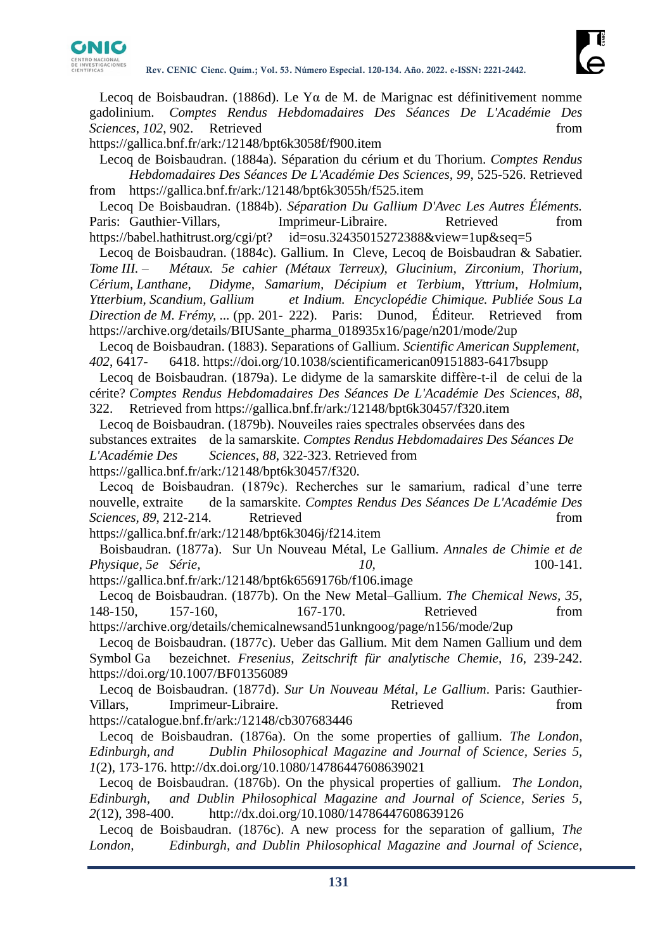

Lecoq de Boisbaudran. (1886d). Le Yα de M. de Marignac est définitivement nomme gadolinium. *Comptes Rendus Hebdomadaires Des Séances De L'Académie Des Sciences*, *102*, 902. Retrieved from from **from** 

https://gallica.bnf.fr/ark:/12148/bpt6k3058f/f900.item

Lecoq de Boisbaudran. (1884a). Séparation du cérium et du Thorium. *Comptes Rendus Hebdomadaires Des Séances De L'Académie Des Sciences, 99*, 525-526. Retrieved from https://gallica.bnf.fr/ark:/12148/bpt6k3055h/f525.item

Lecoq De Boisbaudran. (1884b). *Séparation Du Gallium D'Avec Les Autres Éléments.* Paris: Gauthier-Villars, **Imprimeur-Libraire.** Retrieved from https://babel.hathitrust.org/cgi/pt? id=osu.32435015272388&view=1up&seq=5

Lecoq de Boisbaudran. (1884c). Gallium. In Cleve, Lecoq de Boisbaudran & Sabatier. *Tome III. – Métaux. 5e cahier (Métaux Terreux), Glucinium, Zirconium, Thorium, Cérium, Lanthane, Didyme, Samarium, Décipium et Terbium, Yttrium, Holmium, Ytterbium, Scandium, Gallium et Indium. Encyclopédie Chimique. Publiée Sous La Direction de M. Frémy, ...* (pp. 201- 222). Paris: Dunod, Éditeur. Retrieved from https://archive.org/details/BIUSante\_pharma\_018935x16/page/n201/mode/2up

Lecoq de Boisbaudran. (1883). Separations of Gallium. *Scientific American Supplement, 402*, 6417- 6418. https://doi.org/10.1038/scientificamerican09151883-6417bsupp

Lecoq de Boisbaudran. (1879a). Le didyme de la samarskite diffère-t-il de celui de la cérite? *Comptes Rendus Hebdomadaires Des Séances De L'Académie Des Sciences*, *88*, 322. Retrieved from https://gallica.bnf.fr/ark:/12148/bpt6k30457/f320.item

Lecoq de Boisbaudran. (1879b). Nouveiles raies spectrales observées dans des substances extraites de la samarskite. *Comptes Rendus Hebdomadaires Des Séances De L'Académie Des Sciences*, *88*, 322-323. Retrieved from https://gallica.bnf.fr/ark:/12148/bpt6k30457/f320.

Lecoq de Boisbaudran. (1879c). Recherches sur le samarium, radical d'une terre nouvelle, extraite de la samarskite. *Comptes Rendus Des Séances De L'Académie Des Sciences, 89, 212-214.* Retrieved from

https://gallica.bnf.fr/ark:/12148/bpt6k3046j/f214.item

Boisbaudran. (1877a). Sur Un Nouveau Métal, Le Gallium. *Annales de Chimie et de Physique, 5e Série, 10,* 100-141.

https://gallica.bnf.fr/ark:/12148/bpt6k6569176b/f106.image

Lecoq de Boisbaudran. (1877b). On the New Metal–Gallium. *The Chemical News, 35*, 148-150, 157-160, 167-170. Retrieved from https://archive.org/details/chemicalnewsand51unkngoog/page/n156/mode/2up

Lecoq de Boisbaudran. (1877c). Ueber das Gallium. Mit dem Namen Gallium und dem Symbol Ga bezeichnet. *Fresenius, Zeitschrift für analytische Chemie, 16*, 239-242. https://doi.org/10.1007/BF01356089

Lecoq de Boisbaudran. (1877d). *Sur Un Nouveau Métal, Le Gallium*. Paris: Gauthier-Villars, Imprimeur-Libraire. Retrieved from https://catalogue.bnf.fr/ark:/12148/cb307683446

Lecoq de Boisbaudran. (1876a). On the some properties of gallium. *The London, Edinburgh, and Dublin Philosophical Magazine and Journal of Science, Series 5, 1*(2), 173-176. http://dx.doi.org/10.1080/14786447608639021

Lecoq de Boisbaudran. (1876b). On the physical properties of gallium. *The London, Edinburgh, and Dublin Philosophical Magazine and Journal of Science, Series 5, 2*(12), 398-400. http://dx.doi.org/10.1080/14786447608639126

Lecoq de Boisbaudran. (1876c). A new process for the separation of gallium, *The London, Edinburgh, and Dublin Philosophical Magazine and Journal of Science,*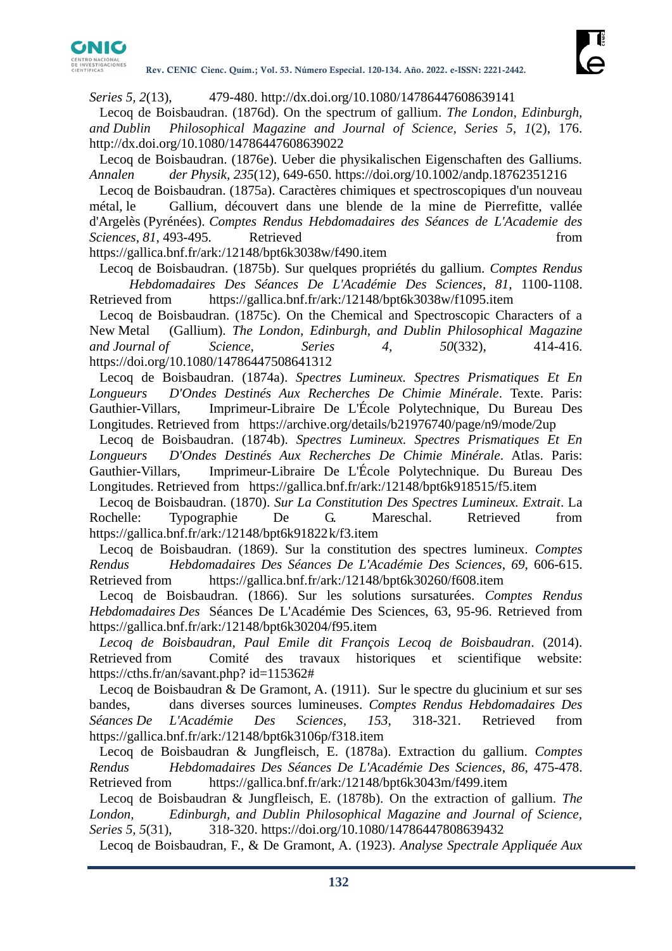

*Series 5, 2*(13), 479-480. http://dx.doi.org/10.1080/14786447608639141

Lecoq de Boisbaudran. (1876d). On the spectrum of gallium. *The London, Edinburgh, and Dublin Philosophical Magazine and Journal of Science, Series 5, 1*(2), 176. http://dx.doi.org/10.1080/14786447608639022

Lecoq de Boisbaudran. (1876e). Ueber die physikalischen Eigenschaften des Galliums. *Annalen der Physik, 235*(12), 649-650. https://doi.org/10.1002/andp.18762351216

Lecoq de Boisbaudran. (1875a). Caractères chimiques et spectroscopiques d'un nouveau métal, le Gallium, découvert dans une blende de la mine de Pierrefitte, vallée d'Argelès (Pyrénées). *Comptes Rendus Hebdomadaires des Séances de L'Academie des Sciences*, *81*, 493-495. Retrieved from

https://gallica.bnf.fr/ark:/12148/bpt6k3038w/f490.item

Lecoq de Boisbaudran. (1875b). Sur quelques propriétés du gallium. *Comptes Rendus Hebdomadaires Des Séances De L'Académie Des Sciences*, *81*, 1100-1108. Retrieved from https://gallica.bnf.fr/ark:/12148/bpt6k3038w/f1095.item

Lecoq de Boisbaudran. (1875c). On the Chemical and Spectroscopic Characters of a New Metal (Gallium). *The London, Edinburgh, and Dublin Philosophical Magazine and Journal of Science, Series 4, 50*(332), 414-416. https://doi.org/10.1080/14786447508641312

Lecoq de Boisbaudran. (1874a). *Spectres Lumineux. Spectres Prismatiques Et En Longueurs D'Ondes Destinés Aux Recherches De Chimie Minérale*. Texte. Paris: Gauthier-Villars, Imprimeur-Libraire De L'École Polytechnique, Du Bureau Des Longitudes. Retrieved from https://archive.org/details/b21976740/page/n9/mode/2up

Lecoq de Boisbaudran. (1874b). *Spectres Lumineux. Spectres Prismatiques Et En Longueurs D'Ondes Destinés Aux Recherches De Chimie Minérale*. Atlas. Paris: Gauthier-Villars, Imprimeur-Libraire De L'École Polytechnique. Du Bureau Des Longitudes. Retrieved from https://gallica.bnf.fr/ark:/12148/bpt6k918515/f5.item

Lecoq de Boisbaudran. (1870). *Sur La Constitution Des Spectres Lumineux. Extrait*. La Rochelle: Typographie De G. Mareschal. Retrieved from https://gallica.bnf.fr/ark:/12148/bpt6k91822k/f3.item

Lecoq de Boisbaudran. (1869). Sur la constitution des spectres lumineux. *Comptes Rendus Hebdomadaires Des Séances De L'Académie Des Sciences*, *69*, 606-615. Retrieved from https://gallica.bnf.fr/ark:/12148/bpt6k30260/f608.item

Lecoq de Boisbaudran. (1866). Sur les solutions sursaturées. *Comptes Rendus Hebdomadaires Des* Séances De L'Académie Des Sciences, 63, 95-96. Retrieved from https://gallica.bnf.fr/ark:/12148/bpt6k30204/f95.item

*Lecoq de Boisbaudran, Paul Emile dit François Lecoq de Boisbaudran*. (2014). Retrieved from Comité des travaux historiques et scientifique website: https://cths.fr/an/savant.php? id=115362#

Lecoq de Boisbaudran & De Gramont, A. (1911). Sur le spectre du glucinium et sur ses bandes, dans diverses sources lumineuses. *Comptes Rendus Hebdomadaires Des Séances De L'Académie Des Sciences, 153*, 318-321. Retrieved from https://gallica.bnf.fr/ark:/12148/bpt6k3106p/f318.item

Lecoq de Boisbaudran & Jungfleisch, E. (1878a). Extraction du gallium. *Comptes Rendus Hebdomadaires Des Séances De L'Académie Des Sciences*, *86*, 475-478. Retrieved from https://gallica.bnf.fr/ark:/12148/bpt6k3043m/f499.item

Lecoq de Boisbaudran & Jungfleisch, E. (1878b). On the extraction of gallium. *The London, Edinburgh, and Dublin Philosophical Magazine and Journal of Science, Series 5, 5*(31), 318-320. https://doi.org/10.1080/14786447808639432

Lecoq de Boisbaudran, F., & De Gramont, A. (1923). *Analyse Spectrale Appliquée Aux*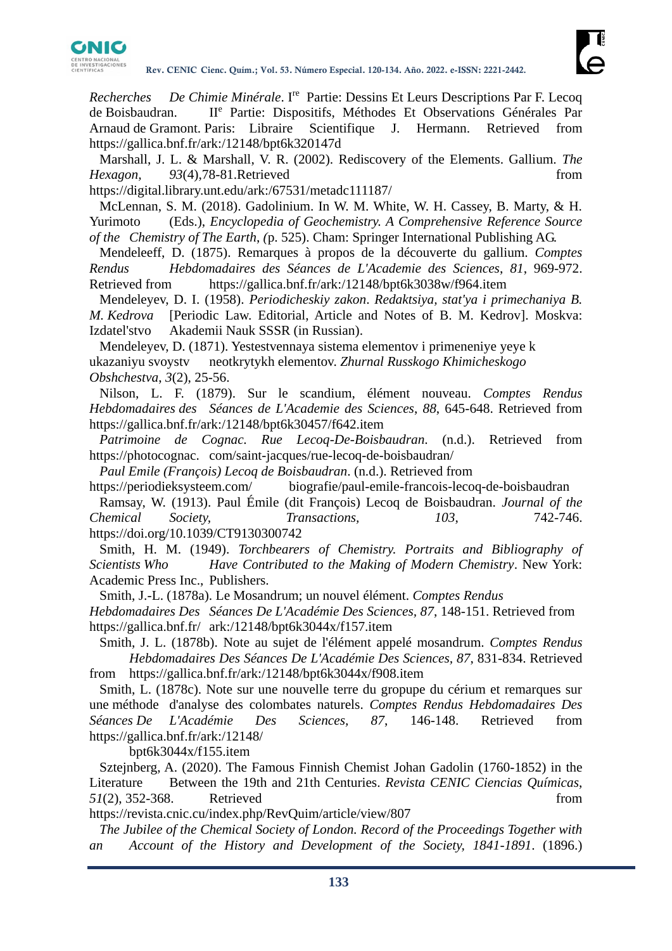

Recherches De Chimie Minérale. I<sup>re</sup> Partie: Dessins Et Leurs Descriptions Par F. Lecoq de Boisbaudran. II<sup>e</sup> Partie: Dispositifs, Méthodes Et Observations Générales Par Arnaud de Gramont. Paris: Libraire Scientifique J. Hermann. Retrieved from https://gallica.bnf.fr/ark:/12148/bpt6k320147d

Marshall, J. L. & Marshall, V. R. (2002). Rediscovery of the Elements. Gallium. *The Hexagon, 93*(4),78-81.Retrieved from

https://digital.library.unt.edu/ark:/67531/metadc111187/

McLennan, S. M. (2018). Gadolinium. In W. M. White, W. H. Cassey, B. Marty, & H. Yurimoto (Eds.), *Encyclopedia of Geochemistry. A Comprehensive Reference Source of the Chemistry of The Earth*, *(*p. 525). Cham: Springer International Publishing AG.

Mendeleeff, D. (1875). Remarques à propos de la découverte du gallium. *Comptes Rendus Hebdomadaires des Séances de L'Academie des Sciences*, *81*, 969-972. Retrieved from https://gallica.bnf.fr/ark:/12148/bpt6k3038w/f964.item

Mendeleyev, D. I. (1958). *Periodicheskiy zakon*. *Redaktsiya, stat'ya i primechaniya B. M. Kedrova* [Periodic Law. Editorial, Article and Notes of B. M. Kedrov]. Moskva: Izdatel'stvo Akademii Nauk SSSR (in Russian).

Mendeleyev, D. (1871). Yestestvennaya sistema elementov i primeneniye yeye k ukazaniyu svoystv neotkrytykh elementov. *Zhurnal Russkogo Khimicheskogo Obshchestva*, *3*(2), 25-56.

Nilson, L. F. (1879). Sur le scandium, élément nouveau. *Comptes Rendus Hebdomadaires des Séances de L'Academie des Sciences*, *88*, 645-648. Retrieved from https://gallica.bnf.fr/ark:/12148/bpt6k30457/f642.item

*Patrimoine de Cognac. Rue Lecoq-De-Boisbaudran*. (n.d.). Retrieved from https://photocognac. com/saint-jacques/rue-lecoq-de-boisbaudran/

*Paul Emile (François) Lecoq de Boisbaudran*. (n.d.). Retrieved from

https://periodieksysteem.com/ biografie/paul-emile-francois-lecoq-de-boisbaudran

Ramsay, W. (1913). Paul Émile (dit François) Lecoq de Boisbaudran. *Journal of the Chemical Society, Transactions, 103*, 742-746. https://doi.org/10.1039/CT9130300742

Smith, H. M. (1949). *Torchbearers of Chemistry. Portraits and Bibliography of Scientists Who Have Contributed to the Making of Modern Chemistry*. New York: Academic Press Inc., Publishers.

Smith, J.-L. (1878a). Le Mosandrum; un nouvel élément. *Comptes Rendus* 

*Hebdomadaires Des Séances De L'Académie Des Sciences, 87*, 148-151. Retrieved from https://gallica.bnf.fr/ ark:/12148/bpt6k3044x/f157.item

Smith, J. L. (1878b). Note au sujet de l'élément appelé mosandrum. *Comptes Rendus Hebdomadaires Des Séances De L'Académie Des Sciences, 87*, 831-834. Retrieved from https://gallica.bnf.fr/ark:/12148/bpt6k3044x/f908.item

Smith, L. (1878c). Note sur une nouvelle terre du gropupe du cérium et remarques sur une méthode d'analyse des colombates naturels. *Comptes Rendus Hebdomadaires Des Séances De L'Académie Des Sciences, 87*, 146-148. Retrieved from https://gallica.bnf.fr/ark:/12148/

bpt6k3044x/f155.item

Sztejnberg, A. (2020). The Famous Finnish Chemist Johan Gadolin (1760-1852) in the Literature Between the 19th and 21th Centuries. *Revista CENIC Ciencias Químicas*, *51*(2), 352-368. Retrieved from

https://revista.cnic.cu/index.php/RevQuim/article/view/807

*The Jubilee of the Chemical Society of London. Record of the Proceedings Together with an Account of the History and Development of the Society, 1841-1891*. (1896.)